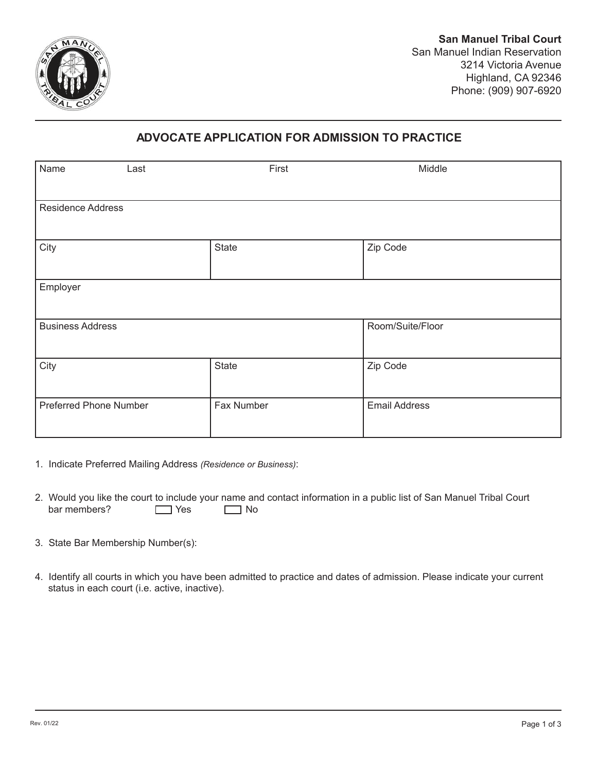

## **ADVOCATE APPLICATION FOR ADMISSION TO PRACTICE**

| Name<br>Last                  | First      | Middle               |
|-------------------------------|------------|----------------------|
| <b>Residence Address</b>      |            |                      |
| City                          | State      | Zip Code             |
| Employer                      |            |                      |
| <b>Business Address</b>       |            | Room/Suite/Floor     |
| City                          | State      | Zip Code             |
| <b>Preferred Phone Number</b> | Fax Number | <b>Email Address</b> |

- 1. Indicate Preferred Mailing Address *(Residence or Business)*:
- bar members?  $\Box$  Yes  $\Box$  No 2. Would you like the court to include your name and contact information in a public list of San Manuel Tribal Court bar members?
- 3. State Bar Membership Number(s):
- 4. Identify all courts in which you have been admitted to practice and dates of admission. Please indicate your current status in each court (i.e. active, inactive).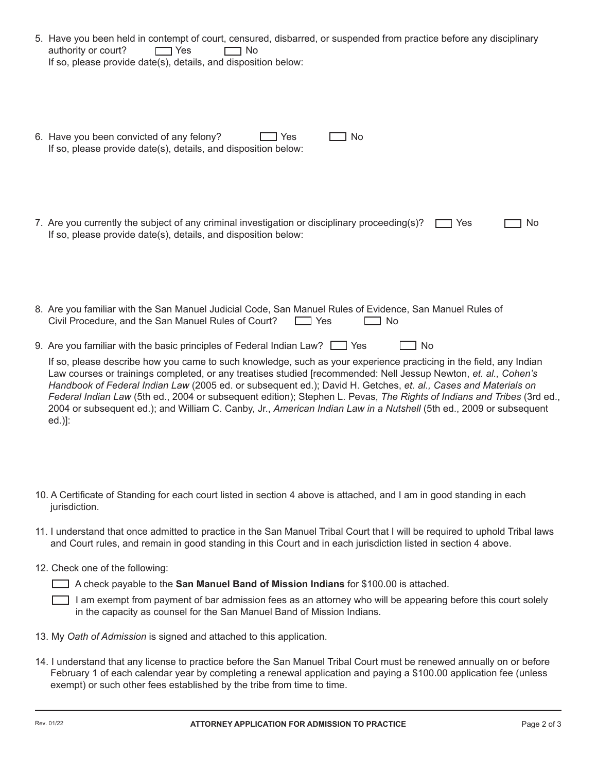| 5. Have you been held in contempt of court, censured, disbarred, or suspended from practice before any disciplinary<br>authority or court?<br>$\neg$ Yes<br>1 No<br>If so, please provide date(s), details, and disposition below:                                                                                                                                                                                                                                                                                                                                                                                                                                                                      |
|---------------------------------------------------------------------------------------------------------------------------------------------------------------------------------------------------------------------------------------------------------------------------------------------------------------------------------------------------------------------------------------------------------------------------------------------------------------------------------------------------------------------------------------------------------------------------------------------------------------------------------------------------------------------------------------------------------|
| 6. Have you been convicted of any felony?<br>No<br>Yes<br>If so, please provide date(s), details, and disposition below:                                                                                                                                                                                                                                                                                                                                                                                                                                                                                                                                                                                |
| 7. Are you currently the subject of any criminal investigation or disciplinary proceeding(s)?<br>Yes<br>No<br>If so, please provide date(s), details, and disposition below:                                                                                                                                                                                                                                                                                                                                                                                                                                                                                                                            |
| 8. Are you familiar with the San Manuel Judicial Code, San Manuel Rules of Evidence, San Manuel Rules of<br>Civil Procedure, and the San Manuel Rules of Court?<br><b>No</b><br>$\Box$ Yes                                                                                                                                                                                                                                                                                                                                                                                                                                                                                                              |
| 9. Are you familiar with the basic principles of Federal Indian Law? $\Box$ Yes<br><b>No</b><br>If so, please describe how you came to such knowledge, such as your experience practicing in the field, any Indian<br>Law courses or trainings completed, or any treatises studied [recommended: Nell Jessup Newton, et. al., Cohen's<br>Handbook of Federal Indian Law (2005 ed. or subsequent ed.); David H. Getches, et. al., Cases and Materials on<br>Federal Indian Law (5th ed., 2004 or subsequent edition); Stephen L. Pevas, The Rights of Indians and Tribes (3rd ed.,<br>2004 or subsequent ed.); and William C. Canby, Jr., American Indian Law in a Nutshell (5th ed., 2009 or subsequent |

- 10. A Certificate of Standing for each court listed in section 4 above is attached, and I am in good standing in each jurisdiction.
- 11. I understand that once admitted to practice in the San Manuel Tribal Court that I will be required to uphold Tribal laws and Court rules, and remain in good standing in this Court and in each jurisdiction listed in section 4 above.
- 12. Check one of the following:

A check payable to the **San Manuel Band of Mission Indians** for \$100.00 is attached.

I am exempt from payment of bar admission fees as an attorney who will be appearing before this court solely in the capacity as counsel for the San Manuel Band of Mission Indians.

- 13. My *Oath of Admission* is signed and attached to this application.
- 14. I understand that any license to practice before the San Manuel Tribal Court must be renewed annually on or before February 1 of each calendar year by completing a renewal application and paying a \$100.00 application fee (unless exempt) or such other fees established by the tribe from time to time.

ed.)]: